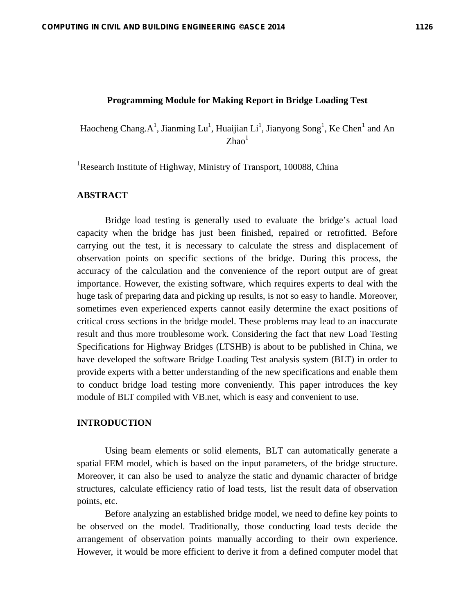Haocheng Chang. $A^1$ , Jianming Lu<sup>1</sup>, Huaijian Li<sup>1</sup>, Jianyong Song<sup>1</sup>, Ke Chen<sup>1</sup> and An  $Z$ hao<sup>1</sup>

<sup>1</sup>Research Institute of Highway, Ministry of Transport, 100088, China

## **ABSTRACT**

Bridge load testing is generally used to evaluate the bridge's actual load capacity when the bridge has just been finished, repaired or retrofitted. Before carrying out the test, it is necessary to calculate the stress and displacement of observation points on specific sections of the bridge. During this process, the accuracy of the calculation and the convenience of the report output are of great importance. However, the existing software, which requires experts to deal with the huge task of preparing data and picking up results, is not so easy to handle. Moreover, sometimes even experienced experts cannot easily determine the exact positions of critical cross sections in the bridge model. These problems may lead to an inaccurate result and thus more troublesome work. Considering the fact that new Load Testing Specifications for Highway Bridges (LTSHB) is about to be published in China, we have developed the software Bridge Loading Test analysis system (BLT) in order to provide experts with a better understanding of the new specifications and enable them to conduct bridge load testing more conveniently. This paper introduces the key module of BLT compiled with VB.net, which is easy and convenient to use.

#### **INTRODUCTION**

Using beam elements or solid elements, BLT can automatically generate a spatial FEM model, which is based on the input parameters, of the bridge structure. Moreover, it can also be used to analyze the static and dynamic character of bridge structures, calculate efficiency ratio of load tests, list the result data of observation points, etc.

Before analyzing an established bridge model, we need to define key points to be observed on the model. Traditionally, those conducting load tests decide the arrangement of observation points manually according to their own experience. However, it would be more efficient to derive it from a defined computer model that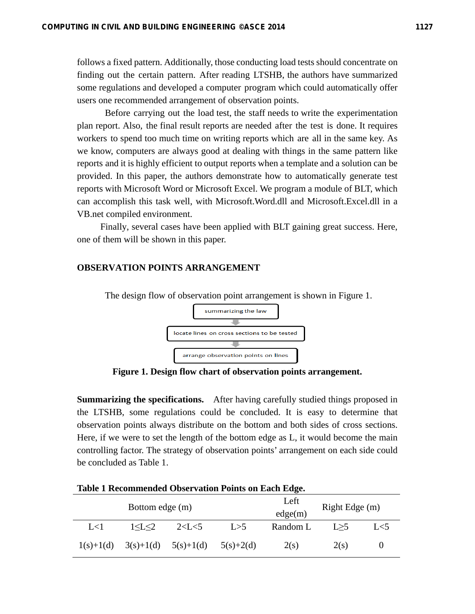follows a fixed pattern. Additionally, those conducting load tests should concentrate on finding out the certain pattern. After reading LTSHB, the authors have summarized some regulations and developed a computer program which could automatically offer users one recommended arrangement of observation points.

Before carrying out the load test, the staff needs to write the experimentation plan report. Also, the final result reports are needed after the test is done. It requires workers to spend too much time on writing reports which are all in the same key. As we know, computers are always good at dealing with things in the same pattern like reports and it is highly efficient to output reports when a template and a solution can be provided. In this paper, the authors demonstrate how to automatically generate test reports with Microsoft Word or Microsoft Excel. We program a module of BLT, which can accomplish this task well, with Microsoft.Word.dll and Microsoft.Excel.dll in a VB.net compiled environment.

Finally, several cases have been applied with BLT gaining great success. Here, one of them will be shown in this paper.

## **OBSERVATION POINTS ARRANGEMENT**

The design flow of observation point arrangement is shown in Figure 1.



**Figure 1. Design flow chart of observation points arrangement.** 

**Summarizing the specifications.** After having carefully studied things proposed in the LTSHB, some regulations could be concluded. It is easy to determine that observation points always distribute on the bottom and both sides of cross sections. Here, if we were to set the length of the bottom edge as L, it would become the main controlling factor. The strategy of observation points' arrangement on each side could be concluded as Table 1.

|             | Bottom edge (m)   |             |             | Left<br>edge(m) | Right Edge (m) |     |
|-------------|-------------------|-------------|-------------|-----------------|----------------|-----|
| L<1         | $1 \leq L \leq 2$ | 2 < L < 5   | L > 5       | Random L        | L > 5          | L<5 |
| $1(s)+1(d)$ | $3(s)+1(d)$       | $5(s)+1(d)$ | $5(s)+2(d)$ | 2(s)            | 2(s)           |     |

**Table 1 Recommended Observation Points on Each Edge.**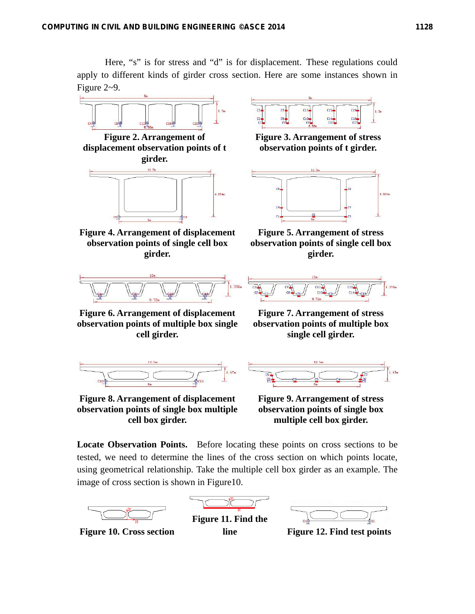Here, "s" is for stress and "d" is for displacement. These regulations could apply to different kinds of girder cross section. Here are some instances shown in Figure 2~9.



**Figure 2. Arrangement of displacement observation points of t girder.** 



**Figure 4. Arrangement of displacement observation points of single cell box girder.** 



**Figure 6. Arrangement of displacement observation points of multiple box single cell girder.** 



**Figure 8. Arrangement of displacement observation points of single box multiple cell box girder.** 



**Figure 3. Arrangement of stress observation points of t girder.** 



**Figure 5. Arrangement of stress observation points of single cell box girder.** 



**Figure 7. Arrangement of stress observation points of multiple box single cell girder.** 



**Figure 9. Arrangement of stress observation points of single box multiple cell box girder.** 

**Locate Observation Points.** Before locating these points on cross sections to be tested, we need to determine the lines of the cross section on which points locate, using geometrical relationship. Take the multiple cell box girder as an example. The image of cross section is shown in Figure10.





**Figure 10. Cross section** 

**Figure 11. Find the** 



**line Figure 12. Find test points**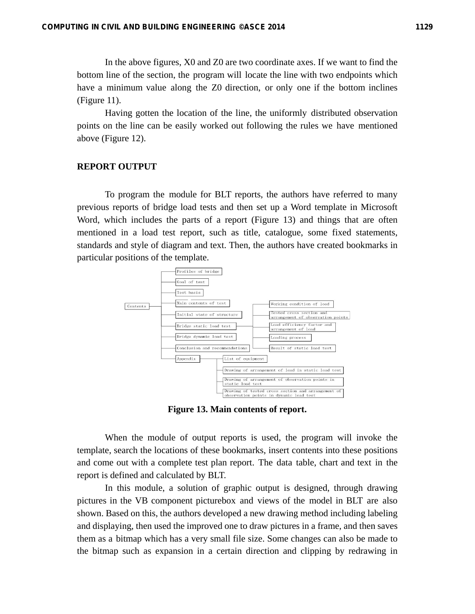In the above figures, X0 and Z0 are two coordinate axes. If we want to find the bottom line of the section, the program will locate the line with two endpoints which have a minimum value along the Z0 direction, or only one if the bottom inclines (Figure 11).

Having gotten the location of the line, the uniformly distributed observation points on the line can be easily worked out following the rules we have mentioned above (Figure 12).

## **REPORT OUTPUT**

To program the module for BLT reports, the authors have referred to many previous reports of bridge load tests and then set up a Word template in Microsoft Word, which includes the parts of a report (Figure 13) and things that are often mentioned in a load test report, such as title, catalogue, some fixed statements, standards and style of diagram and text. Then, the authors have created bookmarks in particular positions of the template.



**Figure 13. Main contents of report.** 

When the module of output reports is used, the program will invoke the template, search the locations of these bookmarks, insert contents into these positions and come out with a complete test plan report. The data table, chart and text in the report is defined and calculated by BLT.

In this module, a solution of graphic output is designed, through drawing pictures in the VB component picturebox and views of the model in BLT are also shown. Based on this, the authors developed a new drawing method including labeling and displaying, then used the improved one to draw pictures in a frame, and then saves them as a bitmap which has a very small file size. Some changes can also be made to the bitmap such as expansion in a certain direction and clipping by redrawing in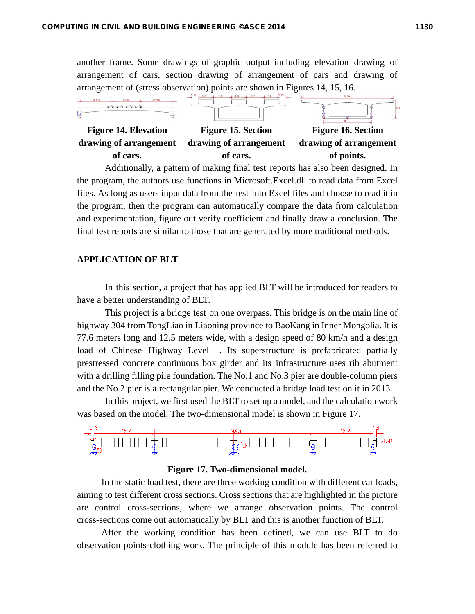another frame. Some drawings of graphic output including elevation drawing of arrangement of cars, section drawing of arrangement of cars and drawing of arrangement of (stress observation) points are shown in Figures 14, 15, 16.



**of cars. of cars. of points.**  Additionally, a pattern of making final test reports has also been designed. In the program, the authors use functions in Microsoft.Excel.dll to read data from Excel files. As long as users input data from the test into Excel files and choose to read it in the program, then the program can automatically compare the data from calculation and experimentation, figure out verify coefficient and finally draw a conclusion. The

final test reports are similar to those that are generated by more traditional methods.

#### **APPLICATION OF BLT**

In this section, a project that has applied BLT will be introduced for readers to have a better understanding of BLT.

This project is a bridge test on one overpass. This bridge is on the main line of highway 304 from TongLiao in Liaoning province to BaoKang in Inner Mongolia. It is 77.6 meters long and 12.5 meters wide, with a design speed of 80 km/h and a design load of Chinese Highway Level 1. Its superstructure is prefabricated partially prestressed concrete continuous box girder and its infrastructure uses rib abutment with a drilling filling pile foundation. The No.1 and No.3 pier are double-column piers and the No.2 pier is a rectangular pier. We conducted a bridge load test on it in 2013.

In this project, we first used the BLT to set up a model, and the calculation work was based on the model. The two-dimensional model is shown in Figure 17.



#### **Figure 17. Two-dimensional model.**

In the static load test, there are three working condition with different car loads, aiming to test different cross sections. Cross sections that are highlighted in the picture are control cross-sections, where we arrange observation points. The control cross-sections come out automatically by BLT and this is another function of BLT.

After the working condition has been defined, we can use BLT to do observation points-clothing work. The principle of this module has been referred to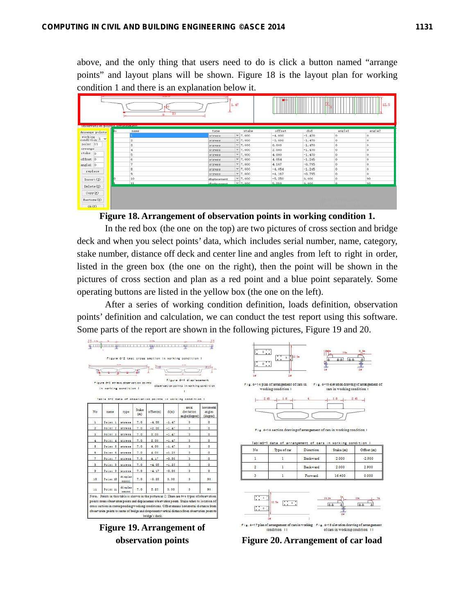above, and the only thing that users need to do is click a button named "arrange points" and layout plans will be shown. Figure 18 is the layout plan for working condition 1 and there is an explanation below it.

|                                   |    |              | <b>The Man</b><br>X <sub>0</sub><br>$\bullet$ | 1.47           |          |          |          | 12.5    |
|-----------------------------------|----|--------------|-----------------------------------------------|----------------|----------|----------|----------|---------|
| Unservation points are not conti- | łо | name         | type                                          | stake          | offset   | dod      | anglei   | angle2  |
| Arrange points<br>working         |    |              | stress                                        | $-7.000$       | $-4.000$ | $-1.470$ | $\circ$  | l0      |
| $\checkmark$<br>condition         |    | 2            | stress                                        | $\times 7.000$ | $-2.000$ | $-1.470$ | $\circ$  | $\circ$ |
| point 11                          |    | 3            | stress                                        | $-7.000$       | 0.000    | $-1.470$ | $\circ$  | lo.     |
| arrange                           |    | 4            | stress                                        | $\times$ 7.000 | 2,000    | $-1.470$ | o        | IO.     |
| stake<br>$\overline{0}$           |    | 5            | stress                                        | $-7.000$       | 4,000    | $-1.470$ | 0        | l0      |
| offset 0                          |    | i6           | stress                                        | $-7.000$       | 4.054    | $-1.245$ | $\circ$  | $\circ$ |
| angle1 0                          |    | Ÿ            | stress                                        | $\times 7.000$ | 4.167    | $-0.795$ | O.       | o       |
|                                   |    | 8            | stress                                        | $-7.000$       | $-4.054$ | $-1.245$ | $\circ$  | lo.     |
| replace                           |    | $\mathbf{Q}$ | stress                                        | $\times$ 7.000 | $-4.167$ | $-0,795$ | $\Omega$ | IO.     |
| Insert(D)                         |    | 10           | displacement                                  | $-7.000$       | $-5.250$ | 0.000    | IÓ.      | 90      |
|                                   |    | 11           | displacement                                  | $-7.000$       | 5, 250   | 0.000    |          | lan     |
| $D$ elete $(D)$                   |    |              |                                               |                |          |          |          |         |
| Copy(E)                           |    |              |                                               |                |          |          |          |         |
| Restore(R)                        |    |              |                                               |                |          |          |          |         |
| Ok(E)                             |    |              |                                               |                |          |          |          |         |

**Figure 18. Arrangement of observation points in working condition 1.** 

In the red box (the one on the top) are two pictures of cross section and bridge deck and when you select points' data, which includes serial number, name, category, stake number, distance off deck and center line and angles from left to right in order, listed in the green box (the one on the right), then the point will be shown in the pictures of cross section and plan as a red point and a blue point separately. Some operating buttons are listed in the yellow box (the one on the left).

After a series of working condition definition, loads definition, observation points' definition and calculation, we can conduct the test report using this software. Some parts of the report are shown in the following pictures, Figure 19 and 20.



**Figure 19. Arrangement of** 



 $\mathsf{Fig.}$ 6–16 section drawing of arrangement of cars in working condition

| No | Type of car | Direction       | Stake (m) | Offset (m) |
|----|-------------|-----------------|-----------|------------|
|    |             | <b>Backward</b> | 2.000     | $-2900$    |
|    |             | Backward        | 2,000     | 2,900      |
|    |             | Forward         | 16,400    | 0.000      |



condition 11 of cars in working condition 11

**observation points Figure 20. Arrangement of car load**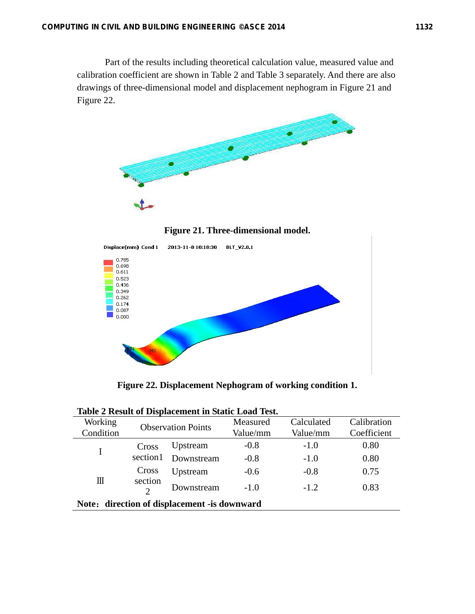Part of the results including theoretical calculation value, measured value and calibration coefficient are shown in Table 2 and Table 3 separately. And there are also drawings of three-dimensional model and displacement nephogram in Figure 21 and Figure 22.



**Figure 21. Three-dimensional model.**



**Figure 22. Displacement Nephogram of working condition 1.** 

| Table 2 Result of Displacement in Blanc Load Test. |                           |            |          |            |             |
|----------------------------------------------------|---------------------------|------------|----------|------------|-------------|
| Working                                            | <b>Observation Points</b> |            | Measured | Calculated | Calibration |
| Condition                                          |                           |            | Value/mm | Value/mm   | Coefficient |
|                                                    | Cross                     | Upstream   | $-0.8$   | $-1.0$     | 0.80        |
|                                                    | section1                  | Downstream | $-0.8$   | $-1.0$     | 0.80        |
| Ш                                                  | Cross                     | Upstream   | $-0.6$   | $-0.8$     | 0.75        |
|                                                    | section<br>$\mathcal{D}$  | Downstream | $-1.0$   | $-1.2$     | 0.83        |
| Note: direction of displacement -is downward       |                           |            |          |            |             |